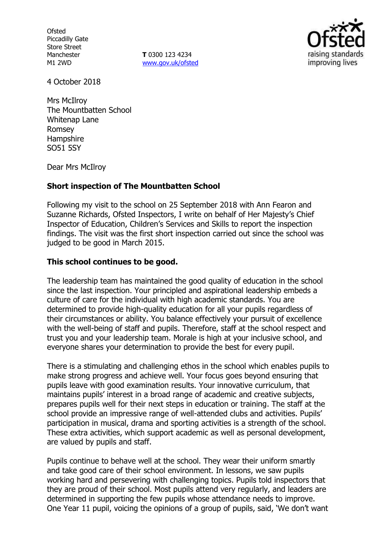**Ofsted** Piccadilly Gate Store Street Manchester M1 2WD

**T** 0300 123 4234 [www.gov.uk/ofsted](http://www.gov.uk/ofsted)



4 October 2018

Mrs McIlroy The Mountbatten School Whitenap Lane Romsey Hampshire SO51 5SY

Dear Mrs McIlroy

## **Short inspection of The Mountbatten School**

Following my visit to the school on 25 September 2018 with Ann Fearon and Suzanne Richards, Ofsted Inspectors, I write on behalf of Her Majesty's Chief Inspector of Education, Children's Services and Skills to report the inspection findings. The visit was the first short inspection carried out since the school was judged to be good in March 2015.

## **This school continues to be good.**

The leadership team has maintained the good quality of education in the school since the last inspection. Your principled and aspirational leadership embeds a culture of care for the individual with high academic standards. You are determined to provide high-quality education for all your pupils regardless of their circumstances or ability. You balance effectively your pursuit of excellence with the well-being of staff and pupils. Therefore, staff at the school respect and trust you and your leadership team. Morale is high at your inclusive school, and everyone shares your determination to provide the best for every pupil.

There is a stimulating and challenging ethos in the school which enables pupils to make strong progress and achieve well. Your focus goes beyond ensuring that pupils leave with good examination results. Your innovative curriculum, that maintains pupils' interest in a broad range of academic and creative subjects, prepares pupils well for their next steps in education or training. The staff at the school provide an impressive range of well-attended clubs and activities. Pupils' participation in musical, drama and sporting activities is a strength of the school. These extra activities, which support academic as well as personal development, are valued by pupils and staff.

Pupils continue to behave well at the school. They wear their uniform smartly and take good care of their school environment. In lessons, we saw pupils working hard and persevering with challenging topics. Pupils told inspectors that they are proud of their school. Most pupils attend very regularly, and leaders are determined in supporting the few pupils whose attendance needs to improve. One Year 11 pupil, voicing the opinions of a group of pupils, said, 'We don't want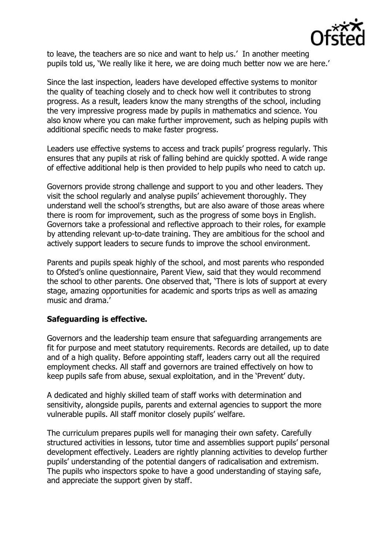

to leave, the teachers are so nice and want to help us.' In another meeting pupils told us, 'We really like it here, we are doing much better now we are here.'

Since the last inspection, leaders have developed effective systems to monitor the quality of teaching closely and to check how well it contributes to strong progress. As a result, leaders know the many strengths of the school, including the very impressive progress made by pupils in mathematics and science. You also know where you can make further improvement, such as helping pupils with additional specific needs to make faster progress.

Leaders use effective systems to access and track pupils' progress regularly. This ensures that any pupils at risk of falling behind are quickly spotted. A wide range of effective additional help is then provided to help pupils who need to catch up.

Governors provide strong challenge and support to you and other leaders. They visit the school regularly and analyse pupils' achievement thoroughly. They understand well the school's strengths, but are also aware of those areas where there is room for improvement, such as the progress of some boys in English. Governors take a professional and reflective approach to their roles, for example by attending relevant up-to-date training. They are ambitious for the school and actively support leaders to secure funds to improve the school environment.

Parents and pupils speak highly of the school, and most parents who responded to Ofsted's online questionnaire, Parent View, said that they would recommend the school to other parents. One observed that, 'There is lots of support at every stage, amazing opportunities for academic and sports trips as well as amazing music and drama.'

# **Safeguarding is effective.**

Governors and the leadership team ensure that safeguarding arrangements are fit for purpose and meet statutory requirements. Records are detailed, up to date and of a high quality. Before appointing staff, leaders carry out all the required employment checks. All staff and governors are trained effectively on how to keep pupils safe from abuse, sexual exploitation, and in the 'Prevent' duty.

A dedicated and highly skilled team of staff works with determination and sensitivity, alongside pupils, parents and external agencies to support the more vulnerable pupils. All staff monitor closely pupils' welfare.

The curriculum prepares pupils well for managing their own safety. Carefully structured activities in lessons, tutor time and assemblies support pupils' personal development effectively. Leaders are rightly planning activities to develop further pupils' understanding of the potential dangers of radicalisation and extremism. The pupils who inspectors spoke to have a good understanding of staying safe, and appreciate the support given by staff.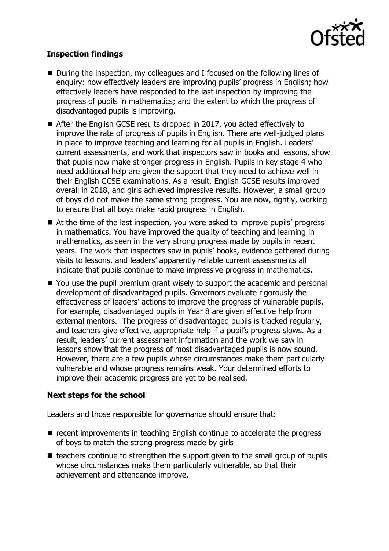

# **Inspection findings**

- During the inspection, my colleagues and I focused on the following lines of enquiry: how effectively leaders are improving pupils' progress in English; how effectively leaders have responded to the last inspection by improving the progress of pupils in mathematics; and the extent to which the progress of disadvantaged pupils is improving.
- After the English GCSE results dropped in 2017, you acted effectively to improve the rate of progress of pupils in English. There are well-judged plans in place to improve teaching and learning for all pupils in English. Leaders' current assessments, and work that inspectors saw in books and lessons, show that pupils now make stronger progress in English. Pupils in key stage 4 who need additional help are given the support that they need to achieve well in their English GCSE examinations. As a result, English GCSE results improved overall in 2018, and girls achieved impressive results. However, a small group of boys did not make the same strong progress. You are now, rightly, working to ensure that all boys make rapid progress in English.
- At the time of the last inspection, you were asked to improve pupils' progress in mathematics. You have improved the quality of teaching and learning in mathematics, as seen in the very strong progress made by pupils in recent years. The work that inspectors saw in pupils' books, evidence gathered during visits to lessons, and leaders' apparently reliable current assessments all indicate that pupils continue to make impressive progress in mathematics.
- You use the pupil premium grant wisely to support the academic and personal development of disadvantaged pupils. Governors evaluate rigorously the effectiveness of leaders' actions to improve the progress of vulnerable pupils. For example, disadvantaged pupils in Year 8 are given effective help from external mentors. The progress of disadvantaged pupils is tracked regularly, and teachers give effective, appropriate help if a pupil's progress slows. As a result, leaders' current assessment information and the work we saw in lessons show that the progress of most disadvantaged pupils is now sound. However, there are a few pupils whose circumstances make them particularly vulnerable and whose progress remains weak. Your determined efforts to improve their academic progress are yet to be realised.

# **Next steps for the school**

Leaders and those responsible for governance should ensure that:

- $\blacksquare$  recent improvements in teaching English continue to accelerate the progress of boys to match the strong progress made by girls
- $\blacksquare$  teachers continue to strengthen the support given to the small group of pupils whose circumstances make them particularly vulnerable, so that their achievement and attendance improve.